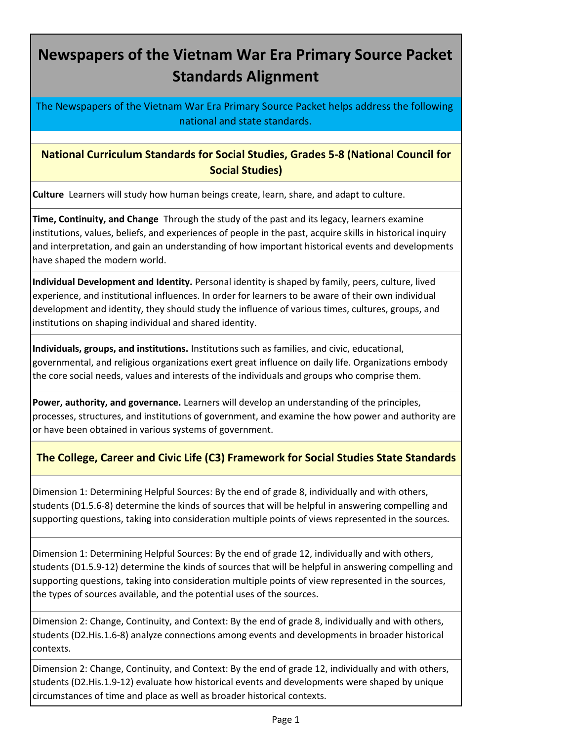## **Newspapers of the Vietnam War Era Primary Source Packet Standards Alignment**

The Newspapers of the Vietnam War Era Primary Source Packet helps address the following national and state standards.

**National Curriculum Standards for Social Studies, Grades 5-8 (National Council for Social Studies)**

**Culture** Learners will study how human beings create, learn, share, and adapt to culture.

**Time, Continuity, and Change** Through the study of the past and its legacy, learners examine institutions, values, beliefs, and experiences of people in the past, acquire skills in historical inquiry and interpretation, and gain an understanding of how important historical events and developments have shaped the modern world.

**Individual Development and Identity.** Personal identity is shaped by family, peers, culture, lived experience, and institutional influences. In order for learners to be aware of their own individual development and identity, they should study the influence of various times, cultures, groups, and institutions on shaping individual and shared identity.

**Individuals, groups, and institutions.** Institutions such as families, and civic, educational, governmental, and religious organizations exert great influence on daily life. Organizations embody the core social needs, values and interests of the individuals and groups who comprise them.

**Power, authority, and governance.** Learners will develop an understanding of the principles, processes, structures, and institutions of government, and examine the how power and authority are or have been obtained in various systems of government.

## **The College, Career and Civic Life (C3) Framework for Social Studies State Standards**

Dimension 1: Determining Helpful Sources: By the end of grade 8, individually and with others, students (D1.5.6-8) determine the kinds of sources that will be helpful in answering compelling and supporting questions, taking into consideration multiple points of views represented in the sources.

Dimension 1: Determining Helpful Sources: By the end of grade 12, individually and with others, students (D1.5.9-12) determine the kinds of sources that will be helpful in answering compelling and supporting questions, taking into consideration multiple points of view represented in the sources, the types of sources available, and the potential uses of the sources.

Dimension 2: Change, Continuity, and Context: By the end of grade 8, individually and with others, students (D2.His.1.6-8) analyze connections among events and developments in broader historical contexts.

Dimension 2: Change, Continuity, and Context: By the end of grade 12, individually and with others, students (D2.His.1.9-12) evaluate how historical events and developments were shaped by unique circumstances of time and place as well as broader historical contexts.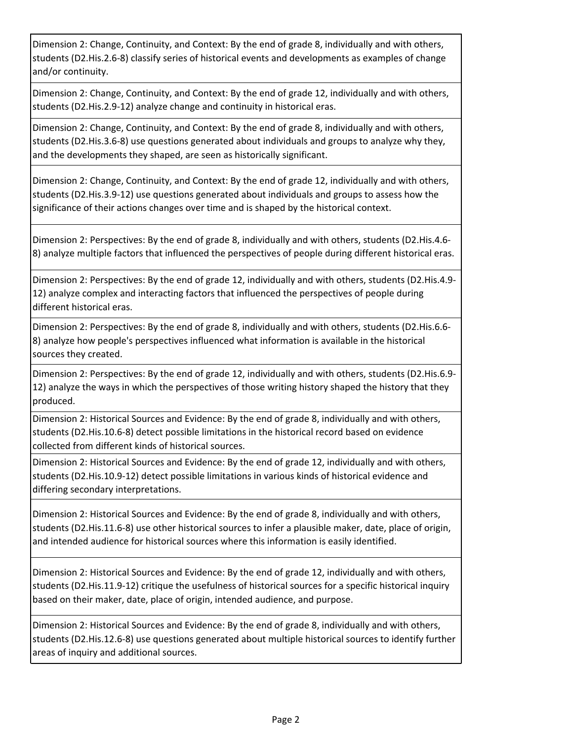Dimension 2: Change, Continuity, and Context: By the end of grade 8, individually and with others, students (D2.His.2.6-8) classify series of historical events and developments as examples of change and/or continuity.

Dimension 2: Change, Continuity, and Context: By the end of grade 12, individually and with others, students (D2.His.2.9-12) analyze change and continuity in historical eras.

Dimension 2: Change, Continuity, and Context: By the end of grade 8, individually and with others, students (D2.His.3.6-8) use questions generated about individuals and groups to analyze why they, and the developments they shaped, are seen as historically significant.

Dimension 2: Change, Continuity, and Context: By the end of grade 12, individually and with others, students (D2.His.3.9-12) use questions generated about individuals and groups to assess how the significance of their actions changes over time and is shaped by the historical context.

Dimension 2: Perspectives: By the end of grade 8, individually and with others, students (D2.His.4.6- 8) analyze multiple factors that influenced the perspectives of people during different historical eras.

Dimension 2: Perspectives: By the end of grade 12, individually and with others, students (D2.His.4.9- 12) analyze complex and interacting factors that influenced the perspectives of people during different historical eras.

Dimension 2: Perspectives: By the end of grade 8, individually and with others, students (D2.His.6.6- 8) analyze how people's perspectives influenced what information is available in the historical sources they created.

Dimension 2: Perspectives: By the end of grade 12, individually and with others, students (D2.His.6.9- 12) analyze the ways in which the perspectives of those writing history shaped the history that they produced.

Dimension 2: Historical Sources and Evidence: By the end of grade 8, individually and with others, students (D2.His.10.6-8) detect possible limitations in the historical record based on evidence collected from different kinds of historical sources.

Dimension 2: Historical Sources and Evidence: By the end of grade 12, individually and with others, students (D2.His.10.9-12) detect possible limitations in various kinds of historical evidence and differing secondary interpretations.

Dimension 2: Historical Sources and Evidence: By the end of grade 8, individually and with others, students (D2.His.11.6-8) use other historical sources to infer a plausible maker, date, place of origin, and intended audience for historical sources where this information is easily identified.

Dimension 2: Historical Sources and Evidence: By the end of grade 12, individually and with others, students (D2.His.11.9-12) critique the usefulness of historical sources for a specific historical inquiry based on their maker, date, place of origin, intended audience, and purpose.

Dimension 2: Historical Sources and Evidence: By the end of grade 8, individually and with others, students (D2.His.12.6-8) use questions generated about multiple historical sources to identify further areas of inquiry and additional sources.